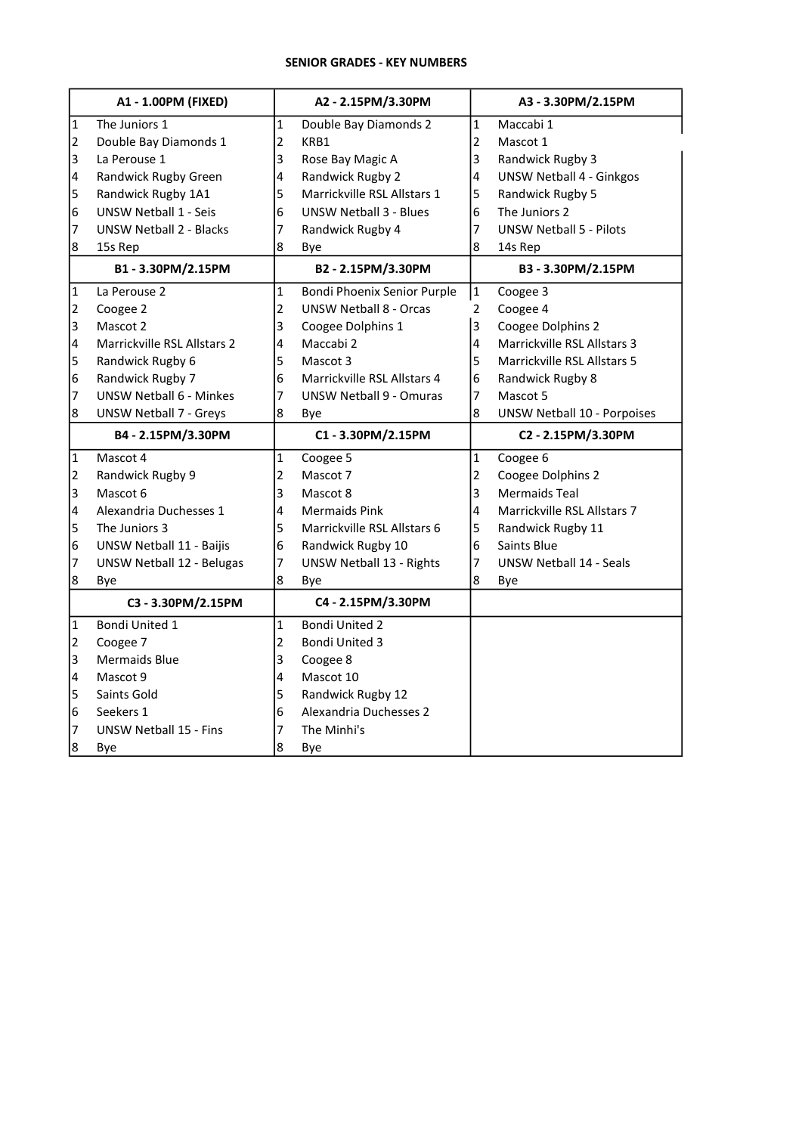# SENIOR GRADES - KEY NUMBERS

|                | A1 - 1.00PM (FIXED)                |                         | A2 - 2.15PM/3.30PM              |                         | A3 - 3.30PM/2.15PM                 |
|----------------|------------------------------------|-------------------------|---------------------------------|-------------------------|------------------------------------|
| $\mathbf{1}$   | The Juniors 1                      | $\mathbf{1}$            | Double Bay Diamonds 2           | $\mathbf{1}$            | Maccabi 1                          |
| $\overline{2}$ | Double Bay Diamonds 1              | $\overline{2}$          | KRB1                            | $\overline{2}$          | Mascot 1                           |
| 3              | La Perouse 1                       | 3                       | Rose Bay Magic A                | 3                       | Randwick Rugby 3                   |
| 4              | Randwick Rugby Green               | 4                       | Randwick Rugby 2                | $\overline{\mathbf{4}}$ | <b>UNSW Netball 4 - Ginkgos</b>    |
| 5              | Randwick Rugby 1A1                 | 5                       | Marrickville RSL Allstars 1     | 5                       | Randwick Rugby 5                   |
| 6              | <b>UNSW Netball 1 - Seis</b>       | 6                       | <b>UNSW Netball 3 - Blues</b>   | 6                       | The Juniors 2                      |
| 7              | <b>UNSW Netball 2 - Blacks</b>     | 7                       | Randwick Rugby 4                | 7                       | <b>UNSW Netball 5 - Pilots</b>     |
| 8              | 15s Rep                            | 8                       | Bye                             | 8                       | 14s Rep                            |
|                | B1-3.30PM/2.15PM                   |                         | B2 - 2.15PM/3.30PM              |                         | B3 - 3.30PM/2.15PM                 |
| 1              | La Perouse 2                       | $\mathbf{1}$            | Bondi Phoenix Senior Purple     | $\mathbf{1}$            | Coogee 3                           |
| 2              | Coogee 2                           | $\overline{2}$          | <b>UNSW Netball 8 - Orcas</b>   | $\overline{2}$          | Coogee 4                           |
| 3              | Mascot 2                           | 3                       | Coogee Dolphins 1               | 3                       | Coogee Dolphins 2                  |
| 4              | <b>Marrickville RSL Allstars 2</b> | $\overline{\mathbf{4}}$ | Maccabi 2                       | 4                       | Marrickville RSL Allstars 3        |
| 5              | Randwick Rugby 6                   | 5                       | Mascot 3                        | 5                       | Marrickville RSL Allstars 5        |
| 6              | Randwick Rugby 7                   | 6                       | Marrickville RSL Allstars 4     | 6                       | Randwick Rugby 8                   |
| 7              | <b>UNSW Netball 6 - Minkes</b>     | 7                       | <b>UNSW Netball 9 - Omuras</b>  | $\overline{7}$          | Mascot 5                           |
| 8              | <b>UNSW Netball 7 - Greys</b>      | 8                       | Bye                             | 8                       | <b>UNSW Netball 10 - Porpoises</b> |
|                |                                    |                         |                                 |                         |                                    |
|                | B4 - 2.15PM/3.30PM                 |                         | C1 - 3.30PM/2.15PM              |                         | C2 - 2.15PM/3.30PM                 |
| 1              | Mascot 4                           | $\mathbf 1$             | Coogee 5                        | 1                       | Coogee 6                           |
| 2              | Randwick Rugby 9                   | $\overline{2}$          | Mascot 7                        | $\mathbf 2$             | Coogee Dolphins 2                  |
| 3              | Mascot 6                           | 3                       | Mascot 8                        | 3                       | <b>Mermaids Teal</b>               |
| 4              | Alexandria Duchesses 1             | 4                       | <b>Mermaids Pink</b>            | $\overline{4}$          | Marrickville RSL Allstars 7        |
| 5              | The Juniors 3                      | 5                       | Marrickville RSL Allstars 6     | 5                       | Randwick Rugby 11                  |
| 6              | UNSW Netball 11 - Baijis           | 6                       | Randwick Rugby 10               | $\overline{6}$          | Saints Blue                        |
| 7              | <b>UNSW Netball 12 - Belugas</b>   | 7                       | <b>UNSW Netball 13 - Rights</b> | 7                       | <b>UNSW Netball 14 - Seals</b>     |
| 8              | Bye                                | 8                       | Bye                             | 8                       | Bye                                |
|                | C3 - 3.30PM/2.15PM                 |                         | C4 - 2.15PM/3.30PM              |                         |                                    |
| $\mathbf{1}$   | Bondi United 1                     | $\mathbf{1}$            | <b>Bondi United 2</b>           |                         |                                    |
| $\overline{2}$ | Coogee 7                           | $\overline{2}$          | <b>Bondi United 3</b>           |                         |                                    |
| 3              | <b>Mermaids Blue</b>               | 3                       | Coogee 8                        |                         |                                    |
| 4              | Mascot 9                           | 4                       | Mascot 10                       |                         |                                    |
| 5              | Saints Gold                        | 5                       | Randwick Rugby 12               |                         |                                    |
| 6              | Seekers 1                          | 6                       | Alexandria Duchesses 2          |                         |                                    |
| 7              | <b>UNSW Netball 15 - Fins</b>      | 7                       | The Minhi's                     |                         |                                    |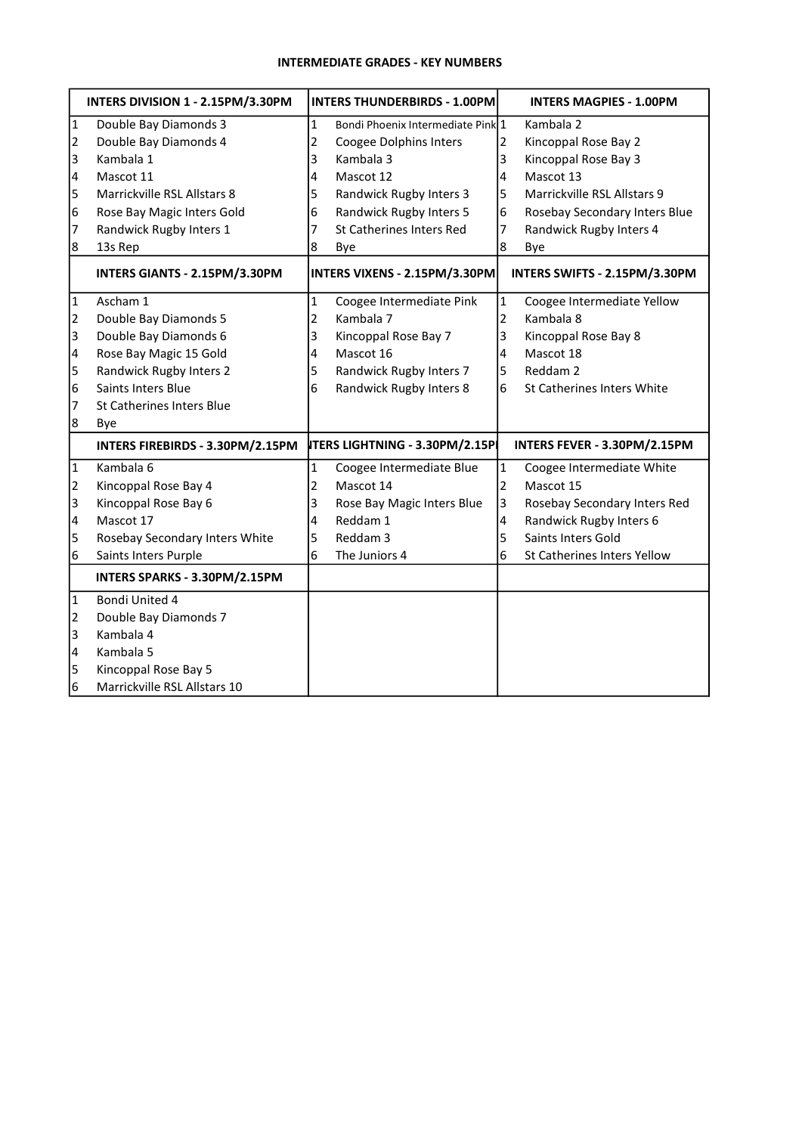# INTERMEDIATE GRADES - KEY NUMBERS

|                | INTERS DIVISION 1 - 2.15PM/3.30PM |                | <b>INTERS THUNDERBIRDS - 1.00PM</b>   |                         | <b>INTERS MAGPIES - 1.00PM</b> |
|----------------|-----------------------------------|----------------|---------------------------------------|-------------------------|--------------------------------|
| $\overline{1}$ | Double Bay Diamonds 3             | $\mathbf{1}$   | Bondi Phoenix Intermediate Pink 1     |                         | Kambala 2                      |
| 2              | Double Bay Diamonds 4             | $\mathbf 2$    | Coogee Dolphins Inters                | $\overline{2}$          | Kincoppal Rose Bay 2           |
| 3              | Kambala 1                         | 3              | Kambala 3                             | 3                       | Kincoppal Rose Bay 3           |
| 4              | Mascot 11                         | 4              | Mascot 12                             | $\overline{\mathbf{4}}$ | Mascot 13                      |
| 5              | Marrickville RSL Allstars 8       | 5              | Randwick Rugby Inters 3               | 5                       | Marrickville RSL Allstars 9    |
| $\overline{6}$ | Rose Bay Magic Inters Gold        | 6              | Randwick Rugby Inters 5               | 6                       | Rosebay Secondary Inters Blue  |
| 7              | Randwick Rugby Inters 1           | 7              | St Catherines Inters Red              | $\overline{7}$          | Randwick Rugby Inters 4        |
| 8              | 13s Rep                           | 8              | Bye                                   | 8                       | Bye                            |
|                | INTERS GIANTS - 2.15PM/3.30PM     |                | INTERS VIXENS - 2.15PM/3.30PM         |                         | INTERS SWIFTS - 2.15PM/3.30PM  |
| $\vert$ 1      | Ascham 1                          | $\mathbf{1}$   | Coogee Intermediate Pink              | $\mathbf{1}$            | Coogee Intermediate Yellow     |
| $\vert$ 2      | Double Bay Diamonds 5             | $\overline{2}$ | Kambala 7                             | $\overline{2}$          | Kambala 8                      |
| 3              | Double Bay Diamonds 6             | 3              | Kincoppal Rose Bay 7                  | 3                       | Kincoppal Rose Bay 8           |
| 4              | Rose Bay Magic 15 Gold            | 4              | Mascot 16                             | 4                       | Mascot 18                      |
| 5              | Randwick Rugby Inters 2           | 5              | Randwick Rugby Inters 7               | 5                       | Reddam 2                       |
| 6              | Saints Inters Blue                | 6              | Randwick Rugby Inters 8               | 6                       | St Catherines Inters White     |
| 7              | St Catherines Inters Blue         |                |                                       |                         |                                |
| 8              | Bye                               |                |                                       |                         |                                |
|                | INTERS FIREBIRDS - 3.30PM/2.15PM  |                | <b>ITERS LIGHTNING - 3.30PM/2.15P</b> |                         | INTERS FEVER - 3.30PM/2.15PM   |
| $\vert$ 1      | Kambala 6                         | $\mathbf{1}$   | Coogee Intermediate Blue              | $\mathbf 1$             | Coogee Intermediate White      |
| 2              | Kincoppal Rose Bay 4              | $\overline{c}$ | Mascot 14                             | $\overline{2}$          | Mascot 15                      |
| 3              | Kincoppal Rose Bay 6              | 3              | Rose Bay Magic Inters Blue            | 3                       | Rosebay Secondary Inters Red   |
| 4              | Mascot 17                         | 4              | Reddam 1                              | 4                       | Randwick Rugby Inters 6        |
| 5              | Rosebay Secondary Inters White    | 5              | Reddam 3                              | 5                       | Saints Inters Gold             |
| l6             | Saints Inters Purple              | 6              | The Juniors 4                         | 6                       | St Catherines Inters Yellow    |
|                | INTERS SPARKS - 3.30PM/2.15PM     |                |                                       |                         |                                |
| $\vert$ 1      | Bondi United 4                    |                |                                       |                         |                                |
| $\vert$ 2      | Double Bay Diamonds 7             |                |                                       |                         |                                |
| 3              | Kambala 4                         |                |                                       |                         |                                |
| 4              | Kambala 5                         |                |                                       |                         |                                |
| 5              | Kincoppal Rose Bay 5              |                |                                       |                         |                                |
| l6             | Marrickville RSL Allstars 10      |                |                                       |                         |                                |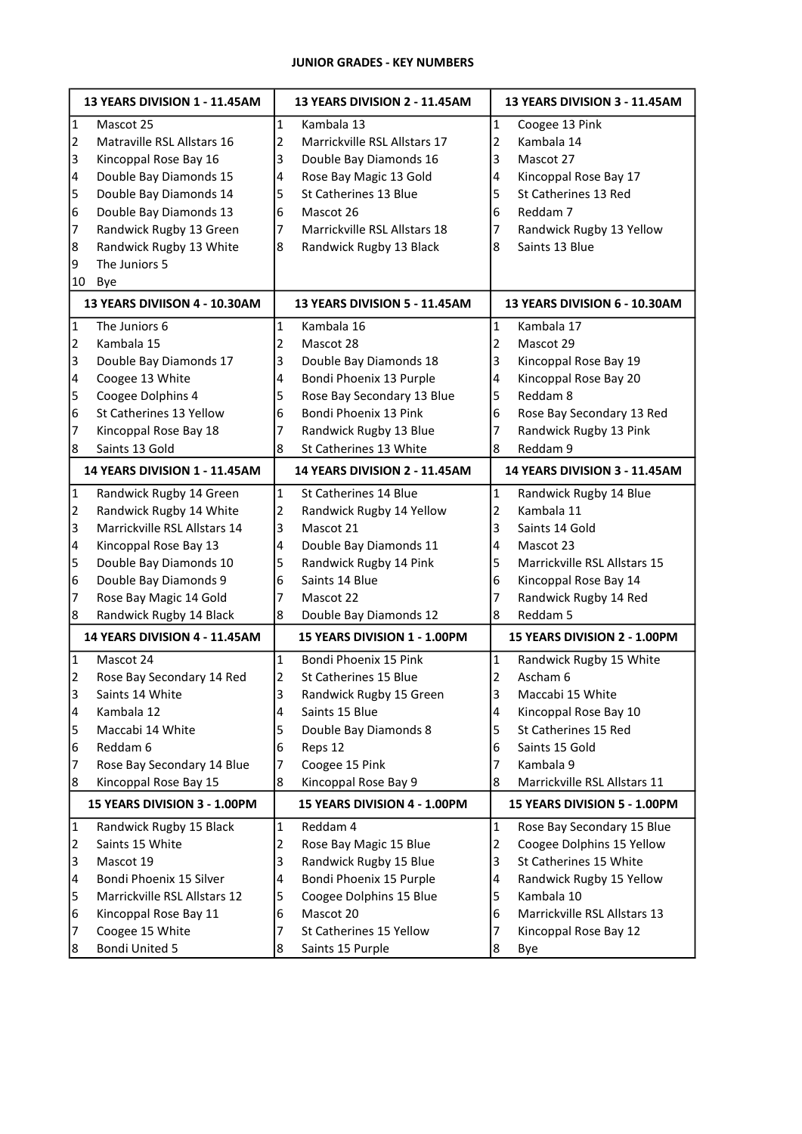# JUNIOR GRADES - KEY NUMBERS

| $\vert$ 1<br>Kambala 13<br>1<br>Coogee 13 Pink<br>Mascot 25<br>1<br>$\overline{2}$<br>Matraville RSL Allstars 16<br>Marrickville RSL Allstars 17<br>2<br>2<br>Kambala 14<br>Kincoppal Rose Bay 16<br>Double Bay Diamonds 16<br>Mascot 27<br>3<br>3<br>3<br>Double Bay Diamonds 15<br>Rose Bay Magic 13 Gold<br>4<br>4<br>4<br>Kincoppal Rose Bay 17<br>5<br>Double Bay Diamonds 14<br>St Catherines 13 Blue<br>5<br>St Catherines 13 Red<br>5<br>Double Bay Diamonds 13<br>6<br>Mascot 26<br>Reddam 7<br>6<br>6<br>Randwick Rugby 13 Green<br>Marrickville RSL Allstars 18<br>Randwick Rugby 13 Yellow<br>7<br>7<br>7<br>8<br>Randwick Rugby 13 White<br>Saints 13 Blue<br>8<br>Randwick Rugby 13 Black<br>8<br>9<br>The Juniors 5<br>10<br>Bye<br>13 YEARS DIVIISON 4 - 10.30AM<br>13 YEARS DIVISION 5 - 11.45AM<br>13 YEARS DIVISION 6 - 10.30AM<br>$\vert$ 1<br>The Juniors 6<br>Kambala 16<br>1<br>Kambala 17<br>1<br>$\overline{2}$<br>Kambala 15<br>$\overline{2}$<br>Mascot 28<br>2<br>Mascot 29<br>3<br>Double Bay Diamonds 17<br>3<br>Double Bay Diamonds 18<br>3<br>Kincoppal Rose Bay 19<br>Bondi Phoenix 13 Purple<br>Kincoppal Rose Bay 20<br>Coogee 13 White<br>4<br>4<br>4<br>5<br>Coogee Dolphins 4<br>Rose Bay Secondary 13 Blue<br>Reddam 8<br>5<br>5<br>6<br>St Catherines 13 Yellow<br>Bondi Phoenix 13 Pink<br>Rose Bay Secondary 13 Red<br>6<br>6<br>Randwick Rugby 13 Blue<br>Randwick Rugby 13 Pink<br>Kincoppal Rose Bay 18<br>7<br>7<br>7<br>Saints 13 Gold<br>St Catherines 13 White<br>Reddam 9<br>8<br>8<br>8<br>14 YEARS DIVISION 1 - 11.45AM<br>14 YEARS DIVISION 3 - 11.45AM<br>14 YEARS DIVISION 2 - 11.45AM<br>$\vert$ 1<br>$\mathbf 1$<br>Randwick Rugby 14 Green<br>$\mathbf{1}$<br>St Catherines 14 Blue<br>Randwick Rugby 14 Blue<br>$\overline{2}$<br>Randwick Rugby 14 White<br>2<br>Randwick Rugby 14 Yellow<br>2<br>Kambala 11<br>3<br>Marrickville RSL Allstars 14<br>Mascot 21<br>Saints 14 Gold<br>3<br>3<br>4<br>Kincoppal Rose Bay 13<br>Double Bay Diamonds 11<br>4<br>4<br>Mascot 23<br>5<br>Double Bay Diamonds 10<br>5<br>Randwick Rugby 14 Pink<br>5<br>Marrickville RSL Allstars 15<br>6<br>Double Bay Diamonds 9<br>Saints 14 Blue<br>6<br>Kincoppal Rose Bay 14<br>6<br>Rose Bay Magic 14 Gold<br>7<br>Randwick Rugby 14 Red<br>Mascot 22<br>7<br>7<br>Randwick Rugby 14 Black<br>8<br>Double Bay Diamonds 12<br>8<br>Reddam 5<br>18<br>14 YEARS DIVISION 4 - 11.45AM<br>15 YEARS DIVISION 1 - 1.00PM<br>15 YEARS DIVISION 2 - 1.00PM<br>$\mathbf{1}$<br>1<br>$\vert$ 1<br>Mascot 24<br>Bondi Phoenix 15 Pink<br>Randwick Rugby 15 White |
|-------------------------------------------------------------------------------------------------------------------------------------------------------------------------------------------------------------------------------------------------------------------------------------------------------------------------------------------------------------------------------------------------------------------------------------------------------------------------------------------------------------------------------------------------------------------------------------------------------------------------------------------------------------------------------------------------------------------------------------------------------------------------------------------------------------------------------------------------------------------------------------------------------------------------------------------------------------------------------------------------------------------------------------------------------------------------------------------------------------------------------------------------------------------------------------------------------------------------------------------------------------------------------------------------------------------------------------------------------------------------------------------------------------------------------------------------------------------------------------------------------------------------------------------------------------------------------------------------------------------------------------------------------------------------------------------------------------------------------------------------------------------------------------------------------------------------------------------------------------------------------------------------------------------------------------------------------------------------------------------------------------------------------------------------------------------------------------------------------------------------------------------------------------------------------------------------------------------------------------------------------------------------------------------------------------------------------------------------------------------------------------------------------------------------------------------------------------------------------------------------------------------------------------------------------------------------------------------------|
|                                                                                                                                                                                                                                                                                                                                                                                                                                                                                                                                                                                                                                                                                                                                                                                                                                                                                                                                                                                                                                                                                                                                                                                                                                                                                                                                                                                                                                                                                                                                                                                                                                                                                                                                                                                                                                                                                                                                                                                                                                                                                                                                                                                                                                                                                                                                                                                                                                                                                                                                                                                                 |
|                                                                                                                                                                                                                                                                                                                                                                                                                                                                                                                                                                                                                                                                                                                                                                                                                                                                                                                                                                                                                                                                                                                                                                                                                                                                                                                                                                                                                                                                                                                                                                                                                                                                                                                                                                                                                                                                                                                                                                                                                                                                                                                                                                                                                                                                                                                                                                                                                                                                                                                                                                                                 |
|                                                                                                                                                                                                                                                                                                                                                                                                                                                                                                                                                                                                                                                                                                                                                                                                                                                                                                                                                                                                                                                                                                                                                                                                                                                                                                                                                                                                                                                                                                                                                                                                                                                                                                                                                                                                                                                                                                                                                                                                                                                                                                                                                                                                                                                                                                                                                                                                                                                                                                                                                                                                 |
|                                                                                                                                                                                                                                                                                                                                                                                                                                                                                                                                                                                                                                                                                                                                                                                                                                                                                                                                                                                                                                                                                                                                                                                                                                                                                                                                                                                                                                                                                                                                                                                                                                                                                                                                                                                                                                                                                                                                                                                                                                                                                                                                                                                                                                                                                                                                                                                                                                                                                                                                                                                                 |
|                                                                                                                                                                                                                                                                                                                                                                                                                                                                                                                                                                                                                                                                                                                                                                                                                                                                                                                                                                                                                                                                                                                                                                                                                                                                                                                                                                                                                                                                                                                                                                                                                                                                                                                                                                                                                                                                                                                                                                                                                                                                                                                                                                                                                                                                                                                                                                                                                                                                                                                                                                                                 |
|                                                                                                                                                                                                                                                                                                                                                                                                                                                                                                                                                                                                                                                                                                                                                                                                                                                                                                                                                                                                                                                                                                                                                                                                                                                                                                                                                                                                                                                                                                                                                                                                                                                                                                                                                                                                                                                                                                                                                                                                                                                                                                                                                                                                                                                                                                                                                                                                                                                                                                                                                                                                 |
|                                                                                                                                                                                                                                                                                                                                                                                                                                                                                                                                                                                                                                                                                                                                                                                                                                                                                                                                                                                                                                                                                                                                                                                                                                                                                                                                                                                                                                                                                                                                                                                                                                                                                                                                                                                                                                                                                                                                                                                                                                                                                                                                                                                                                                                                                                                                                                                                                                                                                                                                                                                                 |
|                                                                                                                                                                                                                                                                                                                                                                                                                                                                                                                                                                                                                                                                                                                                                                                                                                                                                                                                                                                                                                                                                                                                                                                                                                                                                                                                                                                                                                                                                                                                                                                                                                                                                                                                                                                                                                                                                                                                                                                                                                                                                                                                                                                                                                                                                                                                                                                                                                                                                                                                                                                                 |
|                                                                                                                                                                                                                                                                                                                                                                                                                                                                                                                                                                                                                                                                                                                                                                                                                                                                                                                                                                                                                                                                                                                                                                                                                                                                                                                                                                                                                                                                                                                                                                                                                                                                                                                                                                                                                                                                                                                                                                                                                                                                                                                                                                                                                                                                                                                                                                                                                                                                                                                                                                                                 |
|                                                                                                                                                                                                                                                                                                                                                                                                                                                                                                                                                                                                                                                                                                                                                                                                                                                                                                                                                                                                                                                                                                                                                                                                                                                                                                                                                                                                                                                                                                                                                                                                                                                                                                                                                                                                                                                                                                                                                                                                                                                                                                                                                                                                                                                                                                                                                                                                                                                                                                                                                                                                 |
|                                                                                                                                                                                                                                                                                                                                                                                                                                                                                                                                                                                                                                                                                                                                                                                                                                                                                                                                                                                                                                                                                                                                                                                                                                                                                                                                                                                                                                                                                                                                                                                                                                                                                                                                                                                                                                                                                                                                                                                                                                                                                                                                                                                                                                                                                                                                                                                                                                                                                                                                                                                                 |
|                                                                                                                                                                                                                                                                                                                                                                                                                                                                                                                                                                                                                                                                                                                                                                                                                                                                                                                                                                                                                                                                                                                                                                                                                                                                                                                                                                                                                                                                                                                                                                                                                                                                                                                                                                                                                                                                                                                                                                                                                                                                                                                                                                                                                                                                                                                                                                                                                                                                                                                                                                                                 |
|                                                                                                                                                                                                                                                                                                                                                                                                                                                                                                                                                                                                                                                                                                                                                                                                                                                                                                                                                                                                                                                                                                                                                                                                                                                                                                                                                                                                                                                                                                                                                                                                                                                                                                                                                                                                                                                                                                                                                                                                                                                                                                                                                                                                                                                                                                                                                                                                                                                                                                                                                                                                 |
|                                                                                                                                                                                                                                                                                                                                                                                                                                                                                                                                                                                                                                                                                                                                                                                                                                                                                                                                                                                                                                                                                                                                                                                                                                                                                                                                                                                                                                                                                                                                                                                                                                                                                                                                                                                                                                                                                                                                                                                                                                                                                                                                                                                                                                                                                                                                                                                                                                                                                                                                                                                                 |
|                                                                                                                                                                                                                                                                                                                                                                                                                                                                                                                                                                                                                                                                                                                                                                                                                                                                                                                                                                                                                                                                                                                                                                                                                                                                                                                                                                                                                                                                                                                                                                                                                                                                                                                                                                                                                                                                                                                                                                                                                                                                                                                                                                                                                                                                                                                                                                                                                                                                                                                                                                                                 |
|                                                                                                                                                                                                                                                                                                                                                                                                                                                                                                                                                                                                                                                                                                                                                                                                                                                                                                                                                                                                                                                                                                                                                                                                                                                                                                                                                                                                                                                                                                                                                                                                                                                                                                                                                                                                                                                                                                                                                                                                                                                                                                                                                                                                                                                                                                                                                                                                                                                                                                                                                                                                 |
|                                                                                                                                                                                                                                                                                                                                                                                                                                                                                                                                                                                                                                                                                                                                                                                                                                                                                                                                                                                                                                                                                                                                                                                                                                                                                                                                                                                                                                                                                                                                                                                                                                                                                                                                                                                                                                                                                                                                                                                                                                                                                                                                                                                                                                                                                                                                                                                                                                                                                                                                                                                                 |
|                                                                                                                                                                                                                                                                                                                                                                                                                                                                                                                                                                                                                                                                                                                                                                                                                                                                                                                                                                                                                                                                                                                                                                                                                                                                                                                                                                                                                                                                                                                                                                                                                                                                                                                                                                                                                                                                                                                                                                                                                                                                                                                                                                                                                                                                                                                                                                                                                                                                                                                                                                                                 |
|                                                                                                                                                                                                                                                                                                                                                                                                                                                                                                                                                                                                                                                                                                                                                                                                                                                                                                                                                                                                                                                                                                                                                                                                                                                                                                                                                                                                                                                                                                                                                                                                                                                                                                                                                                                                                                                                                                                                                                                                                                                                                                                                                                                                                                                                                                                                                                                                                                                                                                                                                                                                 |
|                                                                                                                                                                                                                                                                                                                                                                                                                                                                                                                                                                                                                                                                                                                                                                                                                                                                                                                                                                                                                                                                                                                                                                                                                                                                                                                                                                                                                                                                                                                                                                                                                                                                                                                                                                                                                                                                                                                                                                                                                                                                                                                                                                                                                                                                                                                                                                                                                                                                                                                                                                                                 |
|                                                                                                                                                                                                                                                                                                                                                                                                                                                                                                                                                                                                                                                                                                                                                                                                                                                                                                                                                                                                                                                                                                                                                                                                                                                                                                                                                                                                                                                                                                                                                                                                                                                                                                                                                                                                                                                                                                                                                                                                                                                                                                                                                                                                                                                                                                                                                                                                                                                                                                                                                                                                 |
|                                                                                                                                                                                                                                                                                                                                                                                                                                                                                                                                                                                                                                                                                                                                                                                                                                                                                                                                                                                                                                                                                                                                                                                                                                                                                                                                                                                                                                                                                                                                                                                                                                                                                                                                                                                                                                                                                                                                                                                                                                                                                                                                                                                                                                                                                                                                                                                                                                                                                                                                                                                                 |
|                                                                                                                                                                                                                                                                                                                                                                                                                                                                                                                                                                                                                                                                                                                                                                                                                                                                                                                                                                                                                                                                                                                                                                                                                                                                                                                                                                                                                                                                                                                                                                                                                                                                                                                                                                                                                                                                                                                                                                                                                                                                                                                                                                                                                                                                                                                                                                                                                                                                                                                                                                                                 |
|                                                                                                                                                                                                                                                                                                                                                                                                                                                                                                                                                                                                                                                                                                                                                                                                                                                                                                                                                                                                                                                                                                                                                                                                                                                                                                                                                                                                                                                                                                                                                                                                                                                                                                                                                                                                                                                                                                                                                                                                                                                                                                                                                                                                                                                                                                                                                                                                                                                                                                                                                                                                 |
|                                                                                                                                                                                                                                                                                                                                                                                                                                                                                                                                                                                                                                                                                                                                                                                                                                                                                                                                                                                                                                                                                                                                                                                                                                                                                                                                                                                                                                                                                                                                                                                                                                                                                                                                                                                                                                                                                                                                                                                                                                                                                                                                                                                                                                                                                                                                                                                                                                                                                                                                                                                                 |
|                                                                                                                                                                                                                                                                                                                                                                                                                                                                                                                                                                                                                                                                                                                                                                                                                                                                                                                                                                                                                                                                                                                                                                                                                                                                                                                                                                                                                                                                                                                                                                                                                                                                                                                                                                                                                                                                                                                                                                                                                                                                                                                                                                                                                                                                                                                                                                                                                                                                                                                                                                                                 |
|                                                                                                                                                                                                                                                                                                                                                                                                                                                                                                                                                                                                                                                                                                                                                                                                                                                                                                                                                                                                                                                                                                                                                                                                                                                                                                                                                                                                                                                                                                                                                                                                                                                                                                                                                                                                                                                                                                                                                                                                                                                                                                                                                                                                                                                                                                                                                                                                                                                                                                                                                                                                 |
|                                                                                                                                                                                                                                                                                                                                                                                                                                                                                                                                                                                                                                                                                                                                                                                                                                                                                                                                                                                                                                                                                                                                                                                                                                                                                                                                                                                                                                                                                                                                                                                                                                                                                                                                                                                                                                                                                                                                                                                                                                                                                                                                                                                                                                                                                                                                                                                                                                                                                                                                                                                                 |
|                                                                                                                                                                                                                                                                                                                                                                                                                                                                                                                                                                                                                                                                                                                                                                                                                                                                                                                                                                                                                                                                                                                                                                                                                                                                                                                                                                                                                                                                                                                                                                                                                                                                                                                                                                                                                                                                                                                                                                                                                                                                                                                                                                                                                                                                                                                                                                                                                                                                                                                                                                                                 |
|                                                                                                                                                                                                                                                                                                                                                                                                                                                                                                                                                                                                                                                                                                                                                                                                                                                                                                                                                                                                                                                                                                                                                                                                                                                                                                                                                                                                                                                                                                                                                                                                                                                                                                                                                                                                                                                                                                                                                                                                                                                                                                                                                                                                                                                                                                                                                                                                                                                                                                                                                                                                 |
| Rose Bay Secondary 14 Red<br>Ascham 6<br>2<br>St Catherines 15 Blue<br>2<br>2                                                                                                                                                                                                                                                                                                                                                                                                                                                                                                                                                                                                                                                                                                                                                                                                                                                                                                                                                                                                                                                                                                                                                                                                                                                                                                                                                                                                                                                                                                                                                                                                                                                                                                                                                                                                                                                                                                                                                                                                                                                                                                                                                                                                                                                                                                                                                                                                                                                                                                                   |
| 3<br>3<br>Saints 14 White<br>3<br>Randwick Rugby 15 Green<br>Maccabi 15 White                                                                                                                                                                                                                                                                                                                                                                                                                                                                                                                                                                                                                                                                                                                                                                                                                                                                                                                                                                                                                                                                                                                                                                                                                                                                                                                                                                                                                                                                                                                                                                                                                                                                                                                                                                                                                                                                                                                                                                                                                                                                                                                                                                                                                                                                                                                                                                                                                                                                                                                   |
| $\overline{\mathbf{4}}$<br>Saints 15 Blue<br>Kincoppal Rose Bay 10<br>Kambala 12<br>4<br>4                                                                                                                                                                                                                                                                                                                                                                                                                                                                                                                                                                                                                                                                                                                                                                                                                                                                                                                                                                                                                                                                                                                                                                                                                                                                                                                                                                                                                                                                                                                                                                                                                                                                                                                                                                                                                                                                                                                                                                                                                                                                                                                                                                                                                                                                                                                                                                                                                                                                                                      |
| 5<br>Maccabi 14 White<br>Double Bay Diamonds 8<br>St Catherines 15 Red<br>5<br>5                                                                                                                                                                                                                                                                                                                                                                                                                                                                                                                                                                                                                                                                                                                                                                                                                                                                                                                                                                                                                                                                                                                                                                                                                                                                                                                                                                                                                                                                                                                                                                                                                                                                                                                                                                                                                                                                                                                                                                                                                                                                                                                                                                                                                                                                                                                                                                                                                                                                                                                |
| 6<br>Reddam 6<br>Saints 15 Gold<br>Reps 12<br>6<br>6                                                                                                                                                                                                                                                                                                                                                                                                                                                                                                                                                                                                                                                                                                                                                                                                                                                                                                                                                                                                                                                                                                                                                                                                                                                                                                                                                                                                                                                                                                                                                                                                                                                                                                                                                                                                                                                                                                                                                                                                                                                                                                                                                                                                                                                                                                                                                                                                                                                                                                                                            |
| Rose Bay Secondary 14 Blue<br>Kambala 9<br>7<br>7<br>Coogee 15 Pink<br>7                                                                                                                                                                                                                                                                                                                                                                                                                                                                                                                                                                                                                                                                                                                                                                                                                                                                                                                                                                                                                                                                                                                                                                                                                                                                                                                                                                                                                                                                                                                                                                                                                                                                                                                                                                                                                                                                                                                                                                                                                                                                                                                                                                                                                                                                                                                                                                                                                                                                                                                        |
| Kincoppal Rose Bay 15<br>Kincoppal Rose Bay 9<br>Marrickville RSL Allstars 11<br>8<br>8<br>8                                                                                                                                                                                                                                                                                                                                                                                                                                                                                                                                                                                                                                                                                                                                                                                                                                                                                                                                                                                                                                                                                                                                                                                                                                                                                                                                                                                                                                                                                                                                                                                                                                                                                                                                                                                                                                                                                                                                                                                                                                                                                                                                                                                                                                                                                                                                                                                                                                                                                                    |
| 15 YEARS DIVISION 3 - 1.00PM<br>15 YEARS DIVISION 4 - 1.00PM<br>15 YEARS DIVISION 5 - 1.00PM                                                                                                                                                                                                                                                                                                                                                                                                                                                                                                                                                                                                                                                                                                                                                                                                                                                                                                                                                                                                                                                                                                                                                                                                                                                                                                                                                                                                                                                                                                                                                                                                                                                                                                                                                                                                                                                                                                                                                                                                                                                                                                                                                                                                                                                                                                                                                                                                                                                                                                    |
| $\vert$ 1<br>Randwick Rugby 15 Black<br>1<br>Reddam 4<br>1<br>Rose Bay Secondary 15 Blue                                                                                                                                                                                                                                                                                                                                                                                                                                                                                                                                                                                                                                                                                                                                                                                                                                                                                                                                                                                                                                                                                                                                                                                                                                                                                                                                                                                                                                                                                                                                                                                                                                                                                                                                                                                                                                                                                                                                                                                                                                                                                                                                                                                                                                                                                                                                                                                                                                                                                                        |
| $\overline{2}$<br>Saints 15 White<br>2<br>Rose Bay Magic 15 Blue<br>2<br>Coogee Dolphins 15 Yellow                                                                                                                                                                                                                                                                                                                                                                                                                                                                                                                                                                                                                                                                                                                                                                                                                                                                                                                                                                                                                                                                                                                                                                                                                                                                                                                                                                                                                                                                                                                                                                                                                                                                                                                                                                                                                                                                                                                                                                                                                                                                                                                                                                                                                                                                                                                                                                                                                                                                                              |
| 3<br>Randwick Rugby 15 Blue<br>3<br>St Catherines 15 White<br>3<br>Mascot 19                                                                                                                                                                                                                                                                                                                                                                                                                                                                                                                                                                                                                                                                                                                                                                                                                                                                                                                                                                                                                                                                                                                                                                                                                                                                                                                                                                                                                                                                                                                                                                                                                                                                                                                                                                                                                                                                                                                                                                                                                                                                                                                                                                                                                                                                                                                                                                                                                                                                                                                    |
| Bondi Phoenix 15 Purple<br>Bondi Phoenix 15 Silver<br>Randwick Rugby 15 Yellow<br>4<br>$\overline{4}$<br>4                                                                                                                                                                                                                                                                                                                                                                                                                                                                                                                                                                                                                                                                                                                                                                                                                                                                                                                                                                                                                                                                                                                                                                                                                                                                                                                                                                                                                                                                                                                                                                                                                                                                                                                                                                                                                                                                                                                                                                                                                                                                                                                                                                                                                                                                                                                                                                                                                                                                                      |
| 5<br>Marrickville RSL Allstars 12<br>Coogee Dolphins 15 Blue<br>5<br>Kambala 10<br>5                                                                                                                                                                                                                                                                                                                                                                                                                                                                                                                                                                                                                                                                                                                                                                                                                                                                                                                                                                                                                                                                                                                                                                                                                                                                                                                                                                                                                                                                                                                                                                                                                                                                                                                                                                                                                                                                                                                                                                                                                                                                                                                                                                                                                                                                                                                                                                                                                                                                                                            |
| Mascot 20<br>Marrickville RSL Allstars 13<br>6<br>Kincoppal Rose Bay 11<br>6<br>6                                                                                                                                                                                                                                                                                                                                                                                                                                                                                                                                                                                                                                                                                                                                                                                                                                                                                                                                                                                                                                                                                                                                                                                                                                                                                                                                                                                                                                                                                                                                                                                                                                                                                                                                                                                                                                                                                                                                                                                                                                                                                                                                                                                                                                                                                                                                                                                                                                                                                                               |
| Coogee 15 White<br>St Catherines 15 Yellow<br>Kincoppal Rose Bay 12<br>7<br>7<br>7                                                                                                                                                                                                                                                                                                                                                                                                                                                                                                                                                                                                                                                                                                                                                                                                                                                                                                                                                                                                                                                                                                                                                                                                                                                                                                                                                                                                                                                                                                                                                                                                                                                                                                                                                                                                                                                                                                                                                                                                                                                                                                                                                                                                                                                                                                                                                                                                                                                                                                              |
| 8<br>Bondi United 5<br>Saints 15 Purple<br>8<br>8<br>Bye                                                                                                                                                                                                                                                                                                                                                                                                                                                                                                                                                                                                                                                                                                                                                                                                                                                                                                                                                                                                                                                                                                                                                                                                                                                                                                                                                                                                                                                                                                                                                                                                                                                                                                                                                                                                                                                                                                                                                                                                                                                                                                                                                                                                                                                                                                                                                                                                                                                                                                                                        |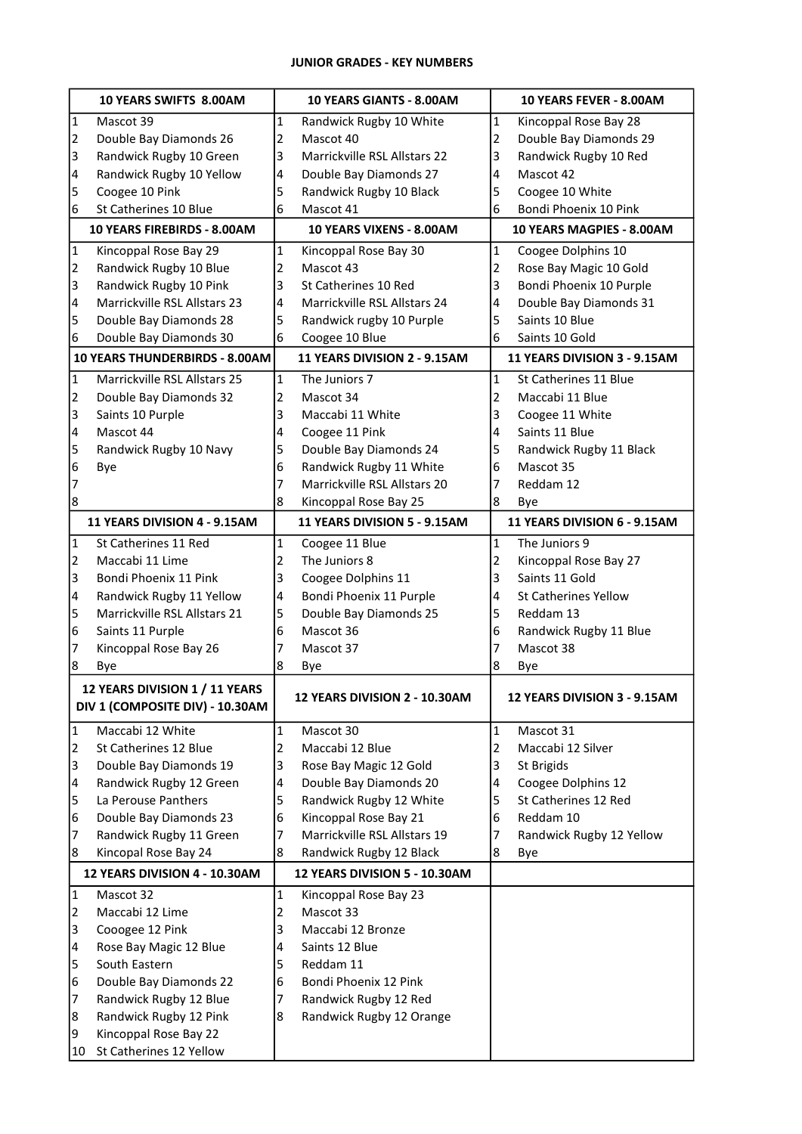# JUNIOR GRADES - KEY NUMBERS

| 10 YEARS SWIFTS 8.00AM  |                                                                   | 10 YEARS GIANTS - 8.00AM |                                 |                | 10 YEARS FEVER - 8.00AM      |  |  |
|-------------------------|-------------------------------------------------------------------|--------------------------|---------------------------------|----------------|------------------------------|--|--|
| $\mathbf{1}$            | Mascot 39                                                         | $\mathbf{1}$             | Randwick Rugby 10 White         | $\mathbf 1$    | Kincoppal Rose Bay 28        |  |  |
| $\overline{2}$          | Double Bay Diamonds 26                                            | 2                        | Mascot 40                       | 2              | Double Bay Diamonds 29       |  |  |
| 3                       | Randwick Rugby 10 Green                                           | 3                        | Marrickville RSL Allstars 22    | 3              | Randwick Rugby 10 Red        |  |  |
| 4                       | Randwick Rugby 10 Yellow                                          | 4                        | Double Bay Diamonds 27          | 4              | Mascot 42                    |  |  |
| 5                       | Coogee 10 Pink                                                    | 5                        | Randwick Rugby 10 Black         | 5              | Coogee 10 White              |  |  |
| 6                       | St Catherines 10 Blue                                             | 6                        | Mascot 41                       | 6              | Bondi Phoenix 10 Pink        |  |  |
|                         | 10 YEARS FIREBIRDS - 8.00AM                                       |                          | 10 YEARS VIXENS - 8.00AM        |                | 10 YEARS MAGPIES - 8.00AM    |  |  |
| $\vert$ 1               | Kincoppal Rose Bay 29                                             | $\mathbf{1}$             | Kincoppal Rose Bay 30           | $\mathbf{1}$   | Coogee Dolphins 10           |  |  |
| $\overline{2}$          | Randwick Rugby 10 Blue                                            | 2                        | Mascot 43                       | 2              | Rose Bay Magic 10 Gold       |  |  |
| 3                       | Randwick Rugby 10 Pink                                            | 3                        | St Catherines 10 Red            | 3              | Bondi Phoenix 10 Purple      |  |  |
| 4                       | Marrickville RSL Allstars 23                                      | 4                        | Marrickville RSL Allstars 24    | 4              | Double Bay Diamonds 31       |  |  |
| 5                       | Double Bay Diamonds 28                                            | 5                        | Randwick rugby 10 Purple        | 5              | Saints 10 Blue               |  |  |
| 6                       | Double Bay Diamonds 30                                            | 6                        | Coogee 10 Blue                  | 6              | Saints 10 Gold               |  |  |
|                         | 10 YEARS THUNDERBIRDS - 8.00AM                                    |                          | 11 YEARS DIVISION 2 - 9.15AM    |                | 11 YEARS DIVISION 3 - 9.15AM |  |  |
| $\mathbf{1}$            | Marrickville RSL Allstars 25                                      | $\mathbf{1}$             | The Juniors 7                   | $\mathbf{1}$   | St Catherines 11 Blue        |  |  |
| $\overline{2}$          | Double Bay Diamonds 32                                            | 2                        | Mascot 34                       | 2              | Maccabi 11 Blue              |  |  |
| 3                       | Saints 10 Purple                                                  | 3                        | Maccabi 11 White                | 3              | Coogee 11 White              |  |  |
| 4                       | Mascot 44                                                         | 4                        | Coogee 11 Pink                  | 4              | Saints 11 Blue               |  |  |
| 5                       | Randwick Rugby 10 Navy                                            | 5                        | Double Bay Diamonds 24          | 5              | Randwick Rugby 11 Black      |  |  |
| 6                       | Bye                                                               | 6                        | Randwick Rugby 11 White         | 6              | Mascot 35                    |  |  |
| 7                       |                                                                   | 7                        | Marrickville RSL Allstars 20    | 7              | Reddam 12                    |  |  |
| 8                       |                                                                   | 8                        | Kincoppal Rose Bay 25           | 8              | Bye                          |  |  |
|                         | 11 YEARS DIVISION 4 - 9.15AM                                      |                          | 11 YEARS DIVISION 5 - 9.15AM    |                | 11 YEARS DIVISION 6 - 9.15AM |  |  |
| $\vert$ 1               | St Catherines 11 Red                                              | $\mathbf{1}$             |                                 | $\mathbf{1}$   | The Juniors 9                |  |  |
| $\overline{2}$          | Maccabi 11 Lime                                                   | 2                        | Coogee 11 Blue<br>The Juniors 8 | $\overline{2}$ | Kincoppal Rose Bay 27        |  |  |
| 3                       | Bondi Phoenix 11 Pink                                             | 3                        | Coogee Dolphins 11              | 3              | Saints 11 Gold               |  |  |
| 4                       | Randwick Rugby 11 Yellow                                          | 4                        | Bondi Phoenix 11 Purple         | 4              | <b>St Catherines Yellow</b>  |  |  |
| 5                       | Marrickville RSL Allstars 21                                      | 5                        | Double Bay Diamonds 25          | 5              | Reddam 13                    |  |  |
| 6                       | Saints 11 Purple                                                  | 6                        | Mascot 36                       | 6              | Randwick Rugby 11 Blue       |  |  |
| 7                       | Kincoppal Rose Bay 26                                             | 7                        | Mascot 37                       | 7              | Mascot 38                    |  |  |
| 8                       | Bye                                                               | 8                        | Bye                             | 8              | Bye                          |  |  |
|                         |                                                                   |                          |                                 |                |                              |  |  |
|                         | 12 YEARS DIVISION 1 / 11 YEARS<br>DIV 1 (COMPOSITE DIV) - 10.30AM |                          | 12 YEARS DIVISION 2 - 10.30AM   |                | 12 YEARS DIVISION 3 - 9.15AM |  |  |
| $\overline{1}$          | Maccabi 12 White                                                  | $\mathbf{1}$             | Mascot 30                       | 1              | Mascot 31                    |  |  |
| $\overline{2}$          | St Catherines 12 Blue                                             | 2                        | Maccabi 12 Blue                 | 2              | Maccabi 12 Silver            |  |  |
| 3                       | Double Bay Diamonds 19                                            | 3                        | Rose Bay Magic 12 Gold          | 3              | St Brigids                   |  |  |
| $\overline{\mathbf{4}}$ | Randwick Rugby 12 Green                                           | 4                        | Double Bay Diamonds 20          | 4              | Coogee Dolphins 12           |  |  |
| 5                       | La Perouse Panthers                                               | 5                        | Randwick Rugby 12 White         | 5              | St Catherines 12 Red         |  |  |
| 6                       | Double Bay Diamonds 23                                            | 6                        | Kincoppal Rose Bay 21           | 6              | Reddam 10                    |  |  |
| 7                       | Randwick Rugby 11 Green                                           | 7                        | Marrickville RSL Allstars 19    | 7              | Randwick Rugby 12 Yellow     |  |  |
| 8                       | Kincopal Rose Bay 24                                              | 8                        | Randwick Rugby 12 Black         | 8              | Bye                          |  |  |
|                         | 12 YEARS DIVISION 4 - 10.30AM                                     |                          | 12 YEARS DIVISION 5 - 10.30AM   |                |                              |  |  |
| $\vert$ 1               | Mascot 32                                                         | $\mathbf{1}$             | Kincoppal Rose Bay 23           |                |                              |  |  |
| $\overline{2}$          | Maccabi 12 Lime                                                   | $\overline{2}$           | Mascot 33                       |                |                              |  |  |
| 3                       | Cooogee 12 Pink                                                   | 3                        | Maccabi 12 Bronze               |                |                              |  |  |
| 4                       | Rose Bay Magic 12 Blue                                            | 4                        | Saints 12 Blue                  |                |                              |  |  |
| 5                       | South Eastern                                                     | 5                        | Reddam 11                       |                |                              |  |  |
| 6                       | Double Bay Diamonds 22                                            | 6                        | Bondi Phoenix 12 Pink           |                |                              |  |  |
| 7                       | Randwick Rugby 12 Blue                                            | 7                        | Randwick Rugby 12 Red           |                |                              |  |  |
| 8                       | Randwick Rugby 12 Pink                                            | 8                        | Randwick Rugby 12 Orange        |                |                              |  |  |
| 9                       | Kincoppal Rose Bay 22                                             |                          |                                 |                |                              |  |  |
| 10                      | St Catherines 12 Yellow                                           |                          |                                 |                |                              |  |  |